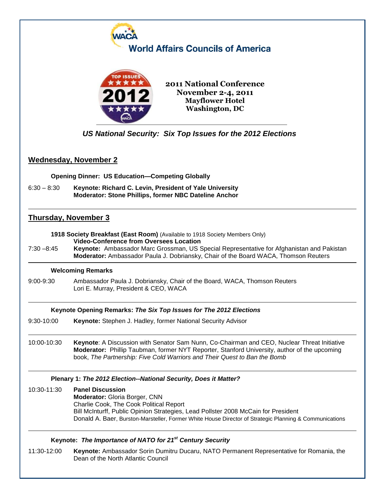

6:30 – 8:30 **Keynote: Richard C. Levin, President of Yale University Moderator: Stone Phillips, former NBC Dateline Anchor**

# **Thursday, November 3**

**1918 Society Breakfast (East Room)** (Available to 1918 Society Members Only) **Video-Conference from Oversees Location**

7:30 –8:45 **Keynote:** Ambassador Marc Grossman, US Special Representative for Afghanistan and Pakistan **Moderator:** Ambassador Paula J. Dobriansky, Chair of the Board WACA, Thomson Reuters

### **Welcoming Remarks**

9:00-9:30 Ambassador Paula J. Dobriansky, Chair of the Board, WACA, Thomson Reuters Lori E. Murray, President & CEO, WACA

## **Keynote Opening Remarks:** *The Six Top Issues for The 2012 Elections*

- 9:30-10:00 **Keynote:** Stephen J. Hadley, former National Security Advisor
- 10:00-10:30 **Keynote**: A Discussion with Senator Sam Nunn, Co-Chairman and CEO, Nuclear Threat Initiative **Moderator:** Phillip Taubman, former NYT Reporter, Stanford University, author of the upcoming book, *The Partnership: Five Cold Warriors and Their Quest to Ban the Bomb*

## **Plenary 1:** *The 2012 Election--National Security, Does it Matter?*

10:30-11:30 **Panel Discussion Moderator:** Gloria Borger, CNN Charlie Cook, The Cook Political Report Bill McInturff, Public Opinion Strategies, Lead Pollster 2008 McCain for President Donald A. Baer, Burston-Marsteller, Former White House Director of Strategic Planning & Communications

## **Keynote:** *The Importance of NATO for 21st Century Security*

11:30-12:00 **Keynote:** Ambassador Sorin Dumitru Ducaru, NATO Permanent Representative for Romania, the Dean of the North Atlantic Council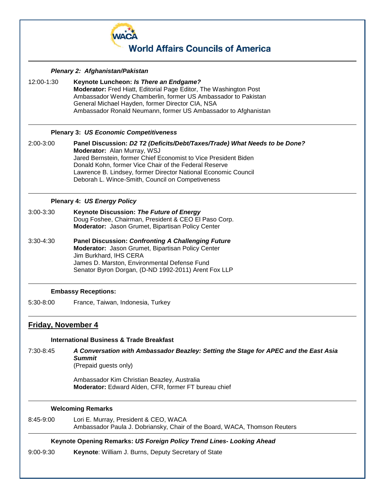

*Plenary 2: Afghanistan/Pakistan*

12:00-1:30 **Keynote Luncheon:** *Is There an Endgame?* **Moderator:** Fred Hiatt, Editorial Page Editor, The Washington Post Ambassador Wendy Chamberlin, former US Ambassador to Pakistan General Michael Hayden, former Director CIA, NSA Ambassador Ronald Neumann, former US Ambassador to Afghanistan

### **Plenary 3:** *US Economic Competitiveness*

2:00-3:00 **Panel Discussion:** *D2 T2 (Deficits/Debt/Taxes/Trade) What Needs to be Done?* **Moderator:** Alan Murray, WSJ Jared Bernstein, former Chief Economist to Vice President Biden Donald Kohn, former Vice Chair of the Federal Reserve Lawrence B. Lindsey, former Director National Economic Council Deborah L. Wince-Smith, Council on Competiveness

### **Plenary 4:** *US Energy Policy*

- 3:00-3:30 **Keynote Discussion:** *The Future of Energy* Doug Foshee, Chairman, President & CEO El Paso Corp. **Moderator:** Jason Grumet, Bipartisan Policy Center
- 3:30-4:30 **Panel Discussion:** *Confronting A Challenging Future* **Moderator:** Jason Grumet, Bipartisan Policy Center Jim Burkhard, IHS CERA James D. Marston, Environmental Defense Fund Senator Byron Dorgan, (D-ND 1992-2011) Arent Fox LLP

## **Embassy Receptions:**

5:30-8:00 France, Taiwan, Indonesia, Turkey

## **Friday, November 4**

#### **International Business & Trade Breakfast**

7:30-8:45 *A Conversation with Ambassador Beazley: Setting the Stage for APEC and the East Asia Summit* (Prepaid guests only)

> Ambassador Kim Christian Beazley, Australia **Moderator:** Edward Alden, CFR, former FT bureau chief

#### **Welcoming Remarks**

8:45-9:00 Lori E. Murray, President & CEO, WACA Ambassador Paula J. Dobriansky, Chair of the Board, WACA, Thomson Reuters

### **Keynote Opening Remarks:** *US Foreign Policy Trend Lines- Looking Ahead*

9:00-9:30 **Keynote**: William J. Burns, Deputy Secretary of State